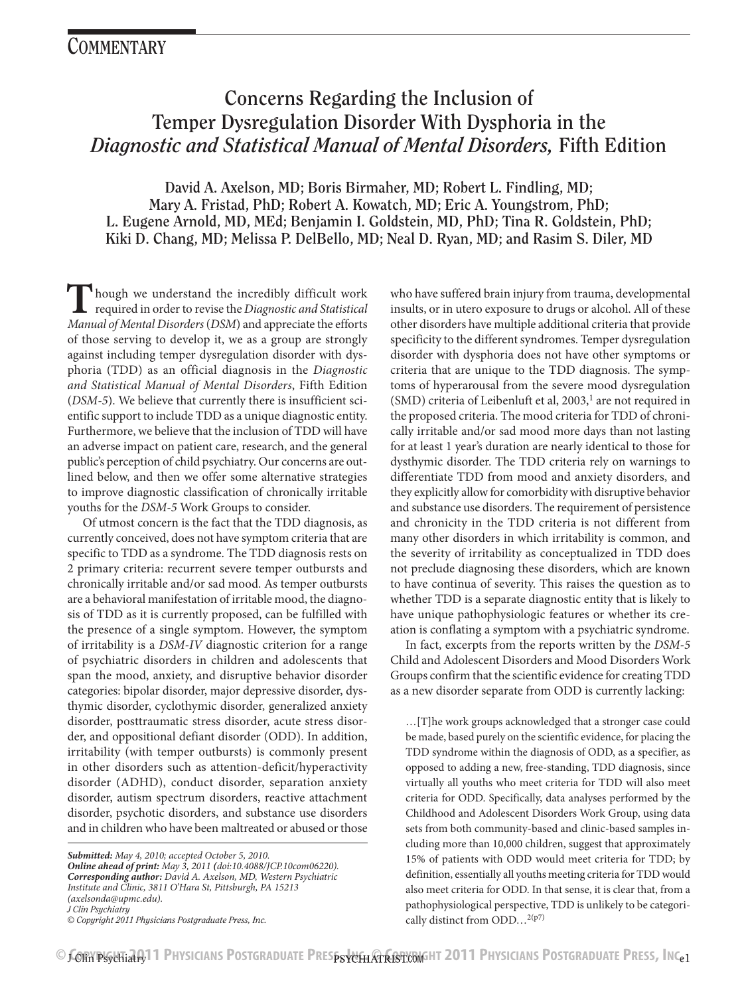# **Concerns Regarding the Inclusion of Temper Dysregulation Disorder With Dysphoria in the**  *Diagnostic and Statistical Manual of Mental Disorders,* **Fifth Edition**

**David A. Axelson, MD; Boris Birmaher, MD; Robert L. Findling, MD; Mary A. Fristad, PhD; Robert A. Kowatch, MD; Eric A. Youngstrom, PhD; L. Eugene Arnold, MD, MEd; Benjamin I. Goldstein, MD, PhD; Tina R. Goldstein, PhD; Kiki D. Chang, MD; Melissa P. DelBello, MD; Neal D. Ryan, MD; and Rasim S. Diler, MD**

**T**hough we understand the incredibly difficult work required in order to revise the *Diagnostic and Statistical Manual of Mental Disorders* (*DSM*) and appreciate the efforts of those serving to develop it, we as a group are strongly against including temper dysregulation disorder with dysphoria (TDD) as an official diagnosis in the *Diagnostic and Statistical Manual of Mental Disorders*, Fifth Edition (*DSM-5*). We believe that currently there is insufficient scientific support to include TDD as a unique diagnostic entity. Furthermore, we believe that the inclusion of TDD will have an adverse impact on patient care, research, and the general public's perception of child psychiatry. Our concerns are outlined below, and then we offer some alternative strategies to improve diagnostic classification of chronically irritable youths for the *DSM-5* Work Groups to consider.

Of utmost concern is the fact that the TDD diagnosis, as currently conceived, does not have symptom criteria that are specific to TDD as a syndrome. The TDD diagnosis rests on 2 primary criteria: recurrent severe temper outbursts and chronically irritable and/or sad mood. As temper outbursts are a behavioral manifestation of irritable mood, the diagnosis of TDD as it is currently proposed, can be fulfilled with the presence of a single symptom. However, the symptom of irritability is a *DSM-IV* diagnostic criterion for a range of psychiatric disorders in children and adolescents that span the mood, anxiety, and disruptive behavior disorder categories: bipolar disorder, major depressive disorder, dysthymic disorder, cyclothymic disorder, generalized anxiety disorder, posttraumatic stress disorder, acute stress disorder, and oppositional defiant disorder (ODD). In addition, irritability (with temper outbursts) is commonly present in other disorders such as attention-deficit/hyperactivity disorder (ADHD), conduct disorder, separation anxiety disorder, autism spectrum disorders, reactive attachment disorder, psychotic disorders, and substance use disorders and in children who have been maltreated or abused or those

who have suffered brain injury from trauma, developmental insults, or in utero exposure to drugs or alcohol. All of these other disorders have multiple additional criteria that provide specificity to the different syndromes. Temper dysregulation disorder with dysphoria does not have other symptoms or criteria that are unique to the TDD diagnosis. The symptoms of hyperarousal from the severe mood dysregulation  $(SMD)$  criteria of Leibenluft et al, 2003,<sup>1</sup> are not required in the proposed criteria. The mood criteria for TDD of chronically irritable and/or sad mood more days than not lasting for at least 1 year's duration are nearly identical to those for dysthymic disorder. The TDD criteria rely on warnings to differentiate TDD from mood and anxiety disorders, and they explicitly allow for comorbidity with disruptive behavior and substance use disorders. The requirement of persistence and chronicity in the TDD criteria is not different from many other disorders in which irritability is common, and the severity of irritability as conceptualized in TDD does not preclude diagnosing these disorders, which are known to have continua of severity. This raises the question as to whether TDD is a separate diagnostic entity that is likely to have unique pathophysiologic features or whether its creation is conflating a symptom with a psychiatric syndrome.

In fact, excerpts from the reports written by the *DSM-5* Child and Adolescent Disorders and Mood Disorders Work Groups confirm that the scientific evidence for creating TDD as a new disorder separate from ODD is currently lacking:

…[T]he work groups acknowledged that a stronger case could be made, based purely on the scientific evidence, for placing the TDD syndrome within the diagnosis of ODD, as a specifier, as opposed to adding a new, free-standing, TDD diagnosis, since virtually all youths who meet criteria for TDD will also meet criteria for ODD. Specifically, data analyses performed by the Childhood and Adolescent Disorders Work Group, using data sets from both community-based and clinic-based samples including more than 10,000 children, suggest that approximately 15% of patients with ODD would meet criteria for TDD; by definition, essentially all youths meeting criteria for TDD would also meet criteria for ODD. In that sense, it is clear that, from a pathophysiological perspective, TDD is unlikely to be categorically distinct from ODD…2(p7)

*Submitted: May 4, 2010; accepted October 5, 2010. Online ahead of print: May 3, 2011 (doi:10.4088/JCP.10com06220). Corresponding author: David A. Axelson, MD, Western Psychiatric Institute and Clinic, 3811 O'Hara St, Pittsburgh, PA 15213 (axelsonda@upmc.edu). J Clin Psychiatry*

*<sup>©</sup> Copyright 2011 Physicians Postgraduate Press, Inc.*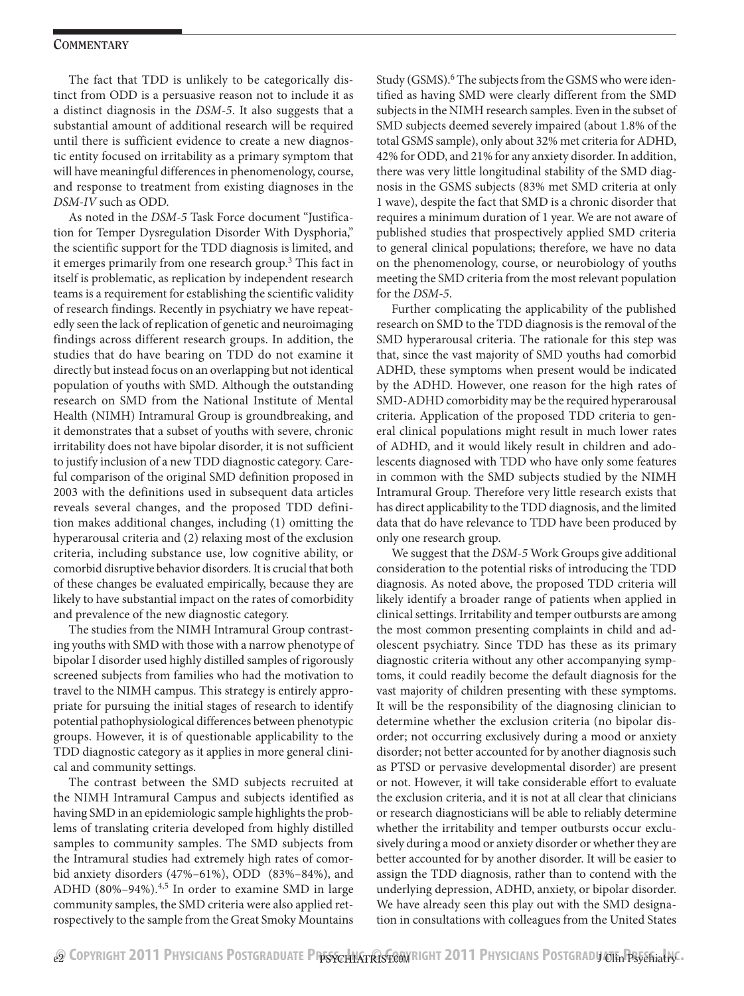The fact that TDD is unlikely to be categorically distinct from ODD is a persuasive reason not to include it as a distinct diagnosis in the *DSM-5*. It also suggests that a substantial amount of additional research will be required until there is sufficient evidence to create a new diagnostic entity focused on irritability as a primary symptom that will have meaningful differences in phenomenology, course, and response to treatment from existing diagnoses in the *DSM-IV* such as ODD.

As noted in the *DSM-5* Task Force document "Justification for Temper Dysregulation Disorder With Dysphoria," the scientific support for the TDD diagnosis is limited, and it emerges primarily from one research group.<sup>3</sup> This fact in itself is problematic, as replication by independent research teams is a requirement for establishing the scientific validity of research findings. Recently in psychiatry we have repeatedly seen the lack of replication of genetic and neuroimaging findings across different research groups. In addition, the studies that do have bearing on TDD do not examine it directly but instead focus on an overlapping but not identical population of youths with SMD. Although the outstanding research on SMD from the National Institute of Mental Health (NIMH) Intramural Group is groundbreaking, and it demonstrates that a subset of youths with severe, chronic irritability does not have bipolar disorder, it is not sufficient to justify inclusion of a new TDD diagnostic category. Careful comparison of the original SMD definition proposed in 2003 with the definitions used in subsequent data articles reveals several changes, and the proposed TDD definition makes additional changes, including (1) omitting the hyperarousal criteria and (2) relaxing most of the exclusion criteria, including substance use, low cognitive ability, or comorbid disruptive behavior disorders. It is crucial that both of these changes be evaluated empirically, because they are likely to have substantial impact on the rates of comorbidity and prevalence of the new diagnostic category.

The studies from the NIMH Intramural Group contrasting youths with SMD with those with a narrow phenotype of bipolar I disorder used highly distilled samples of rigorously screened subjects from families who had the motivation to travel to the NIMH campus. This strategy is entirely appropriate for pursuing the initial stages of research to identify potential pathophysiological differences between phenotypic groups. However, it is of questionable applicability to the TDD diagnostic category as it applies in more general clinical and community settings.

The contrast between the SMD subjects recruited at the NIMH Intramural Campus and subjects identified as having SMD in an epidemiologic sample highlights the problems of translating criteria developed from highly distilled samples to community samples. The SMD subjects from the Intramural studies had extremely high rates of comorbid anxiety disorders (47%–61%), ODD (83%–84%), and ADHD (80%–94%). $4,5$  In order to examine SMD in large community samples, the SMD criteria were also applied retrospectively to the sample from the Great Smoky Mountains

Study (GSMS).<sup>6</sup> The subjects from the GSMS who were identified as having SMD were clearly different from the SMD subjects in the NIMH research samples. Even in the subset of SMD subjects deemed severely impaired (about 1.8% of the total GSMS sample), only about 32% met criteria for ADHD, 42% for ODD, and 21% for any anxiety disorder. In addition, there was very little longitudinal stability of the SMD diagnosis in the GSMS subjects (83% met SMD criteria at only 1 wave), despite the fact that SMD is a chronic disorder that requires a minimum duration of 1 year. We are not aware of published studies that prospectively applied SMD criteria to general clinical populations; therefore, we have no data on the phenomenology, course, or neurobiology of youths meeting the SMD criteria from the most relevant population for the *DSM-5*.

Further complicating the applicability of the published research on SMD to the TDD diagnosis is the removal of the SMD hyperarousal criteria. The rationale for this step was that, since the vast majority of SMD youths had comorbid ADHD, these symptoms when present would be indicated by the ADHD. However, one reason for the high rates of SMD-ADHD comorbidity may be the required hyperarousal criteria. Application of the proposed TDD criteria to general clinical populations might result in much lower rates of ADHD, and it would likely result in children and adolescents diagnosed with TDD who have only some features in common with the SMD subjects studied by the NIMH Intramural Group. Therefore very little research exists that has direct applicability to the TDD diagnosis, and the limited data that do have relevance to TDD have been produced by only one research group.

We suggest that the *DSM-5* Work Groups give additional consideration to the potential risks of introducing the TDD diagnosis. As noted above, the proposed TDD criteria will likely identify a broader range of patients when applied in clinical settings. Irritability and temper outbursts are among the most common presenting complaints in child and adolescent psychiatry. Since TDD has these as its primary diagnostic criteria without any other accompanying symptoms, it could readily become the default diagnosis for the vast majority of children presenting with these symptoms. It will be the responsibility of the diagnosing clinician to determine whether the exclusion criteria (no bipolar disorder; not occurring exclusively during a mood or anxiety disorder; not better accounted for by another diagnosis such as PTSD or pervasive developmental disorder) are present or not. However, it will take considerable effort to evaluate the exclusion criteria, and it is not at all clear that clinicians or research diagnosticians will be able to reliably determine whether the irritability and temper outbursts occur exclusively during a mood or anxiety disorder or whether they are better accounted for by another disorder. It will be easier to assign the TDD diagnosis, rather than to contend with the underlying depression, ADHD, anxiety, or bipolar disorder. We have already seen this play out with the SMD designation in consultations with colleagues from the United States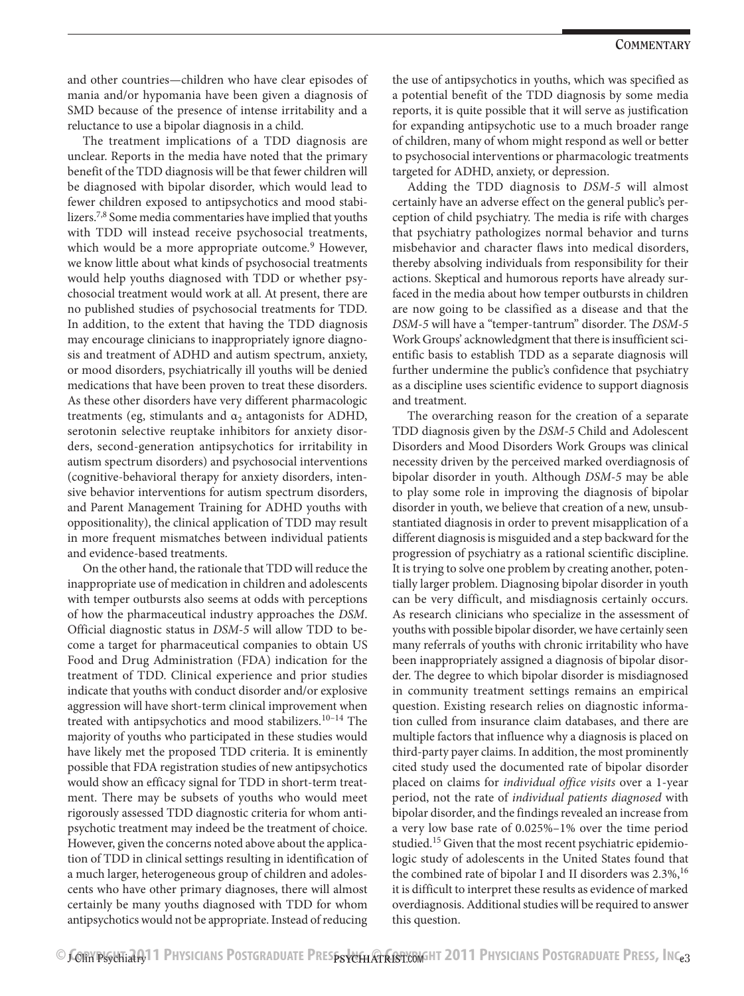and other countries—children who have clear episodes of mania and/or hypomania have been given a diagnosis of SMD because of the presence of intense irritability and a reluctance to use a bipolar diagnosis in a child.

The treatment implications of a TDD diagnosis are unclear. Reports in the media have noted that the primary benefit of the TDD diagnosis will be that fewer children will be diagnosed with bipolar disorder, which would lead to fewer children exposed to antipsychotics and mood stabilizers.<sup>7,8</sup> Some media commentaries have implied that youths with TDD will instead receive psychosocial treatments, which would be a more appropriate outcome.<sup>9</sup> However, we know little about what kinds of psychosocial treatments would help youths diagnosed with TDD or whether psychosocial treatment would work at all. At present, there are no published studies of psychosocial treatments for TDD. In addition, to the extent that having the TDD diagnosis may encourage clinicians to inappropriately ignore diagnosis and treatment of ADHD and autism spectrum, anxiety, or mood disorders, psychiatrically ill youths will be denied medications that have been proven to treat these disorders. As these other disorders have very different pharmacologic treatments (eg, stimulants and  $\alpha_2$  antagonists for ADHD, serotonin selective reuptake inhibitors for anxiety disorders, second-generation antipsychotics for irritability in autism spectrum disorders) and psychosocial interventions (cognitive-behavioral therapy for anxiety disorders, intensive behavior interventions for autism spectrum disorders, and Parent Management Training for ADHD youths with oppositionality), the clinical application of TDD may result in more frequent mismatches between individual patients and evidence-based treatments.

On the other hand, the rationale that TDD will reduce the inappropriate use of medication in children and adolescents with temper outbursts also seems at odds with perceptions of how the pharmaceutical industry approaches the *DSM*. Official diagnostic status in *DSM-5* will allow TDD to become a target for pharmaceutical companies to obtain US Food and Drug Administration (FDA) indication for the treatment of TDD. Clinical experience and prior studies indicate that youths with conduct disorder and/or explosive aggression will have short-term clinical improvement when treated with antipsychotics and mood stabilizers.<sup>10-14</sup> The majority of youths who participated in these studies would have likely met the proposed TDD criteria. It is eminently possible that FDA registration studies of new antipsychotics would show an efficacy signal for TDD in short-term treatment. There may be subsets of youths who would meet rigorously assessed TDD diagnostic criteria for whom antipsychotic treatment may indeed be the treatment of choice. However, given the concerns noted above about the application of TDD in clinical settings resulting in identification of a much larger, heterogeneous group of children and adolescents who have other primary diagnoses, there will almost certainly be many youths diagnosed with TDD for whom antipsychotics would not be appropriate. Instead of reducing

the use of antipsychotics in youths, which was specified as a potential benefit of the TDD diagnosis by some media reports, it is quite possible that it will serve as justification for expanding antipsychotic use to a much broader range of children, many of whom might respond as well or better to psychosocial interventions or pharmacologic treatments targeted for ADHD, anxiety, or depression.

Adding the TDD diagnosis to *DSM-5* will almost certainly have an adverse effect on the general public's perception of child psychiatry. The media is rife with charges that psychiatry pathologizes normal behavior and turns misbehavior and character flaws into medical disorders, thereby absolving individuals from responsibility for their actions. Skeptical and humorous reports have already surfaced in the media about how temper outbursts in children are now going to be classified as a disease and that the *DSM-5* will have a "temper-tantrum" disorder. The *DSM-5* Work Groups' acknowledgment that there is insufficient scientific basis to establish TDD as a separate diagnosis will further undermine the public's confidence that psychiatry as a discipline uses scientific evidence to support diagnosis and treatment.

The overarching reason for the creation of a separate TDD diagnosis given by the *DSM-5* Child and Adolescent Disorders and Mood Disorders Work Groups was clinical necessity driven by the perceived marked overdiagnosis of bipolar disorder in youth. Although *DSM-5* may be able to play some role in improving the diagnosis of bipolar disorder in youth, we believe that creation of a new, unsubstantiated diagnosis in order to prevent misapplication of a different diagnosis is misguided and a step backward for the progression of psychiatry as a rational scientific discipline. It is trying to solve one problem by creating another, potentially larger problem. Diagnosing bipolar disorder in youth can be very difficult, and misdiagnosis certainly occurs. As research clinicians who specialize in the assessment of youths with possible bipolar disorder, we have certainly seen many referrals of youths with chronic irritability who have been inappropriately assigned a diagnosis of bipolar disorder. The degree to which bipolar disorder is misdiagnosed in community treatment settings remains an empirical question. Existing research relies on diagnostic information culled from insurance claim databases, and there are multiple factors that influence why a diagnosis is placed on third-party payer claims. In addition, the most prominently cited study used the documented rate of bipolar disorder placed on claims for *individual office visits* over a 1-year period, not the rate of *individual patients diagnosed* with bipolar disorder, and the findings revealed an increase from a very low base rate of 0.025%–1% over the time period studied.<sup>15</sup> Given that the most recent psychiatric epidemiologic study of adolescents in the United States found that the combined rate of bipolar I and II disorders was  $2.3\%$ ,<sup>16</sup> it is difficult to interpret these results as evidence of marked overdiagnosis. Additional studies will be required to answer this question.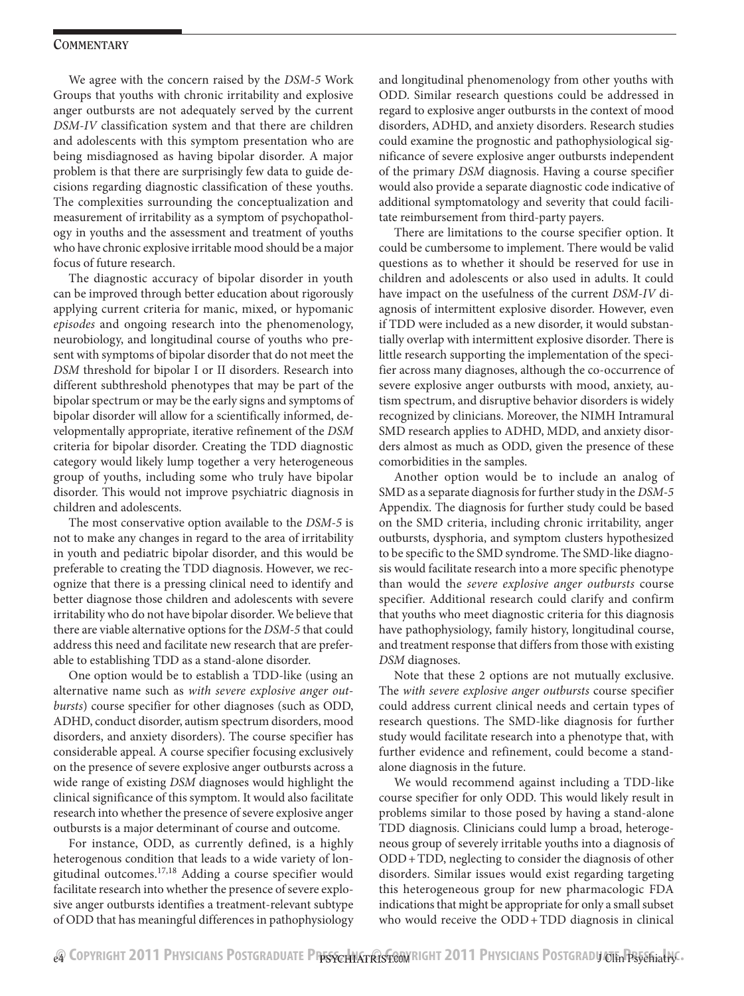We agree with the concern raised by the *DSM-5* Work Groups that youths with chronic irritability and explosive anger outbursts are not adequately served by the current *DSM-IV* classification system and that there are children and adolescents with this symptom presentation who are being misdiagnosed as having bipolar disorder. A major problem is that there are surprisingly few data to guide decisions regarding diagnostic classification of these youths. The complexities surrounding the conceptualization and measurement of irritability as a symptom of psychopathology in youths and the assessment and treatment of youths who have chronic explosive irritable mood should be a major focus of future research.

The diagnostic accuracy of bipolar disorder in youth can be improved through better education about rigorously applying current criteria for manic, mixed, or hypomanic *episodes* and ongoing research into the phenomenology, neurobiology, and longitudinal course of youths who present with symptoms of bipolar disorder that do not meet the *DSM* threshold for bipolar I or II disorders. Research into different subthreshold phenotypes that may be part of the bipolar spectrum or may be the early signs and symptoms of bipolar disorder will allow for a scientifically informed, developmentally appropriate, iterative refinement of the *DSM* criteria for bipolar disorder. Creating the TDD diagnostic category would likely lump together a very heterogeneous group of youths, including some who truly have bipolar disorder. This would not improve psychiatric diagnosis in children and adolescents.

The most conservative option available to the *DSM-5* is not to make any changes in regard to the area of irritability in youth and pediatric bipolar disorder, and this would be preferable to creating the TDD diagnosis. However, we recognize that there is a pressing clinical need to identify and better diagnose those children and adolescents with severe irritability who do not have bipolar disorder. We believe that there are viable alternative options for the *DSM-5* that could address this need and facilitate new research that are preferable to establishing TDD as a stand-alone disorder.

One option would be to establish a TDD-like (using an alternative name such as *with severe explosive anger outbursts*) course specifier for other diagnoses (such as ODD, ADHD, conduct disorder, autism spectrum disorders, mood disorders, and anxiety disorders). The course specifier has considerable appeal. A course specifier focusing exclusively on the presence of severe explosive anger outbursts across a wide range of existing *DSM* diagnoses would highlight the clinical significance of this symptom. It would also facilitate research into whether the presence of severe explosive anger outbursts is a major determinant of course and outcome.

For instance, ODD, as currently defined, is a highly heterogenous condition that leads to a wide variety of longitudinal outcomes.17,18 Adding a course specifier would facilitate research into whether the presence of severe explosive anger outbursts identifies a treatment-relevant subtype of ODD that has meaningful differences in pathophysiology

and longitudinal phenomenology from other youths with ODD. Similar research questions could be addressed in regard to explosive anger outbursts in the context of mood disorders, ADHD, and anxiety disorders. Research studies could examine the prognostic and pathophysiological significance of severe explosive anger outbursts independent of the primary *DSM* diagnosis. Having a course specifier would also provide a separate diagnostic code indicative of additional symptomatology and severity that could facilitate reimbursement from third-party payers.

There are limitations to the course specifier option. It could be cumbersome to implement. There would be valid questions as to whether it should be reserved for use in children and adolescents or also used in adults. It could have impact on the usefulness of the current *DSM-IV* diagnosis of intermittent explosive disorder. However, even if TDD were included as a new disorder, it would substantially overlap with intermittent explosive disorder. There is little research supporting the implementation of the specifier across many diagnoses, although the co-occurrence of severe explosive anger outbursts with mood, anxiety, autism spectrum, and disruptive behavior disorders is widely recognized by clinicians. Moreover, the NIMH Intramural SMD research applies to ADHD, MDD, and anxiety disorders almost as much as ODD, given the presence of these comorbidities in the samples.

Another option would be to include an analog of SMD as a separate diagnosis for further study in the *DSM-5* Appendix. The diagnosis for further study could be based on the SMD criteria, including chronic irritability, anger outbursts, dysphoria, and symptom clusters hypothesized to be specific to the SMD syndrome. The SMD-like diagnosis would facilitate research into a more specific phenotype than would the *severe explosive anger outbursts* course specifier. Additional research could clarify and confirm that youths who meet diagnostic criteria for this diagnosis have pathophysiology, family history, longitudinal course, and treatment response that differs from those with existing *DSM* diagnoses.

Note that these 2 options are not mutually exclusive. The *with severe explosive anger outbursts* course specifier could address current clinical needs and certain types of research questions. The SMD-like diagnosis for further study would facilitate research into a phenotype that, with further evidence and refinement, could become a standalone diagnosis in the future.

We would recommend against including a TDD-like course specifier for only ODD. This would likely result in problems similar to those posed by having a stand-alone TDD diagnosis. Clinicians could lump a broad, heterogeneous group of severely irritable youths into a diagnosis of ODD+TDD, neglecting to consider the diagnosis of other disorders. Similar issues would exist regarding targeting this heterogeneous group for new pharmacologic FDA indications that might be appropriate for only a small subset who would receive the ODD+TDD diagnosis in clinical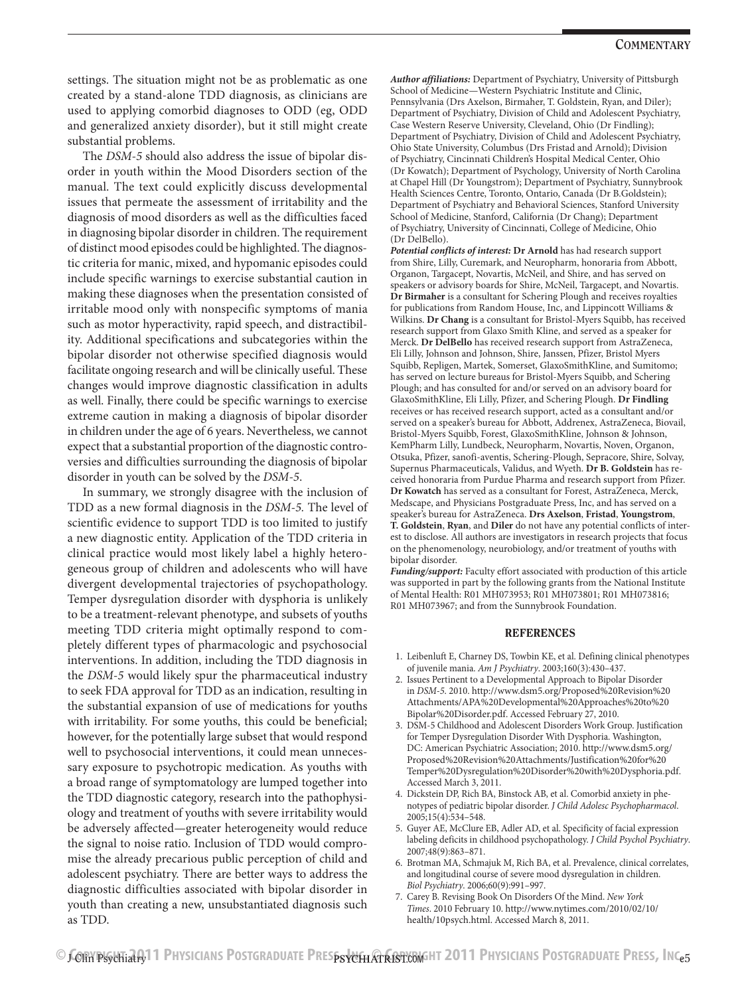settings. The situation might not be as problematic as one created by a stand-alone TDD diagnosis, as clinicians are used to applying comorbid diagnoses to ODD (eg, ODD and generalized anxiety disorder), but it still might create substantial problems.

The *DSM-5* should also address the issue of bipolar disorder in youth within the Mood Disorders section of the manual. The text could explicitly discuss developmental issues that permeate the assessment of irritability and the diagnosis of mood disorders as well as the difficulties faced in diagnosing bipolar disorder in children. The requirement of distinct mood episodes could be highlighted. The diagnostic criteria for manic, mixed, and hypomanic episodes could include specific warnings to exercise substantial caution in making these diagnoses when the presentation consisted of irritable mood only with nonspecific symptoms of mania such as motor hyperactivity, rapid speech, and distractibility. Additional specifications and subcategories within the bipolar disorder not otherwise specified diagnosis would facilitate ongoing research and will be clinically useful. These changes would improve diagnostic classification in adults as well. Finally, there could be specific warnings to exercise extreme caution in making a diagnosis of bipolar disorder in children under the age of 6 years. Nevertheless, we cannot expect that a substantial proportion of the diagnostic controversies and difficulties surrounding the diagnosis of bipolar disorder in youth can be solved by the *DSM-5*.

In summary, we strongly disagree with the inclusion of TDD as a new formal diagnosis in the *DSM-5.* The level of scientific evidence to support TDD is too limited to justify a new diagnostic entity. Application of the TDD criteria in clinical practice would most likely label a highly heterogeneous group of children and adolescents who will have divergent developmental trajectories of psychopathology. Temper dysregulation disorder with dysphoria is unlikely to be a treatment-relevant phenotype, and subsets of youths meeting TDD criteria might optimally respond to completely different types of pharmacologic and psychosocial interventions. In addition, including the TDD diagnosis in the *DSM-5* would likely spur the pharmaceutical industry to seek FDA approval for TDD as an indication, resulting in the substantial expansion of use of medications for youths with irritability. For some youths, this could be beneficial; however, for the potentially large subset that would respond well to psychosocial interventions, it could mean unnecessary exposure to psychotropic medication. As youths with a broad range of symptomatology are lumped together into the TDD diagnostic category, research into the pathophysiology and treatment of youths with severe irritability would be adversely affected—greater heterogeneity would reduce the signal to noise ratio. Inclusion of TDD would compromise the already precarious public perception of child and adolescent psychiatry. There are better ways to address the diagnostic difficulties associated with bipolar disorder in youth than creating a new, unsubstantiated diagnosis such as TDD.

*Author affiliations:* Department of Psychiatry, University of Pittsburgh School of Medicine—Western Psychiatric Institute and Clinic, Pennsylvania (Drs Axelson, Birmaher, T. Goldstein, Ryan, and Diler); Department of Psychiatry, Division of Child and Adolescent Psychiatry, Case Western Reserve University, Cleveland, Ohio (Dr Findling); Department of Psychiatry, Division of Child and Adolescent Psychiatry, Ohio State University, Columbus (Drs Fristad and Arnold); Division of Psychiatry, Cincinnati Children's Hospital Medical Center, Ohio (Dr Kowatch); Department of Psychology, University of North Carolina at Chapel Hill (Dr Youngstrom); Department of Psychiatry, Sunnybrook Health Sciences Centre, Toronto, Ontario, Canada (Dr B.Goldstein); Department of Psychiatry and Behavioral Sciences, Stanford University School of Medicine, Stanford, California (Dr Chang); Department of Psychiatry, University of Cincinnati, College of Medicine, Ohio (Dr DelBello).

*Potential conflicts of interest:* **Dr Arnold** has had research support from Shire, Lilly, Curemark, and Neuropharm, honoraria from Abbott, Organon, Targacept, Novartis, McNeil, and Shire, and has served on speakers or advisory boards for Shire, McNeil, Targacept, and Novartis. **Dr Birmaher** is a consultant for Schering Plough and receives royalties for publications from Random House, Inc, and Lippincott Williams & Wilkins. **Dr Chang** is a consultant for Bristol-Myers Squibb, has received research support from Glaxo Smith Kline, and served as a speaker for Merck. **Dr DelBello** has received research support from AstraZeneca, Eli Lilly, Johnson and Johnson, Shire, Janssen, Pfizer, Bristol Myers Squibb, Repligen, Martek, Somerset, GlaxoSmithKline, and Sumitomo; has served on lecture bureaus for Bristol-Myers Squibb, and Schering Plough; and has consulted for and/or served on an advisory board for GlaxoSmithKline, Eli Lilly, Pfizer, and Schering Plough. **Dr Findling** receives or has received research support, acted as a consultant and/or served on a speaker's bureau for Abbott, Addrenex, AstraZeneca, Biovail, Bristol-Myers Squibb, Forest, GlaxoSmithKline, Johnson & Johnson, KemPharm Lilly, Lundbeck, Neuropharm, Novartis, Noven, Organon, Otsuka, Pfizer, sanofi-aventis, Schering-Plough, Sepracore, Shire, Solvay, Supernus Pharmaceuticals, Validus, and Wyeth. **Dr B. Goldstein** has received honoraria from Purdue Pharma and research support from Pfizer. **Dr Kowatch** has served as a consultant for Forest, AstraZeneca, Merck, Medscape, and Physicians Postgraduate Press, Inc, and has served on a speaker's bureau for AstraZeneca. **Drs Axelson**, **Fristad**, **Youngstrom**, **T. Goldstein**, **Ryan**, and **Diler** do not have any potential conflicts of interest to disclose. All authors are investigators in research projects that focus on the phenomenology, neurobiology, and/or treatment of youths with bipolar disorder.

*Funding/support:* Faculty effort associated with production of this article was supported in part by the following grants from the National Institute of Mental Health: R01 MH073953; R01 MH073801; R01 MH073816; R01 MH073967; and from the Sunnybrook Foundation.

#### **REFERENCES**

- 1. Leibenluft E, Charney DS, Towbin KE, et al. Defining clinical phenotypes of juvenile mania. *Am J Psychiatry*. 2003;160(3):430-437.
- 2. Issues Pertinent to a Developmental Approach to Bipolar Disorder in *DSM-5*. 2010. http://www.dsm5.org/Proposed%20Revision%20 Attachments/APA%20Developmental%20Approaches%20to%20 Bipolar%20Disorder.pdf. Accessed February 27, 2010.
- 3. DSM-5 Childhood and Adolescent Disorders Work Group. Justification for Temper Dysregulation Disorder With Dysphoria. Washington, DC: American Psychiatric Association; 2010. http://www.dsm5.org/ Proposed%20Revision%20Attachments/Justification%20for%20 Temper%20Dysregulation%20Disorder%20with%20Dysphoria.pdf. Accessed March 3, 2011.
- 4. Dickstein DP, Rich BA, Binstock AB, et al. Comorbid anxiety in phenotypes of pediatric bipolar disorder. *J Child Adolesc Psychopharmacol*. 2005;15(4):534-548.
- 5. Guyer AE, McClure EB, Adler AD, et al. Specificity of facial expression labeling deficits in childhood psychopathology. *J Child Psychol Psychiatry*. 2007;48(9):863-871.
- 6. Brotman MA, Schmajuk M, Rich BA, et al. Prevalence, clinical correlates, and longitudinal course of severe mood dysregulation in children. Biol Psychiatry. 2006;60(9):991-997.
- 7. Carey B. Revising Book On Disorders Of the Mind. *New York Times*. 2010 February 10. http://www.nytimes.com/2010/02/10/ health/10psych.html. Accessed March 8, 2011.